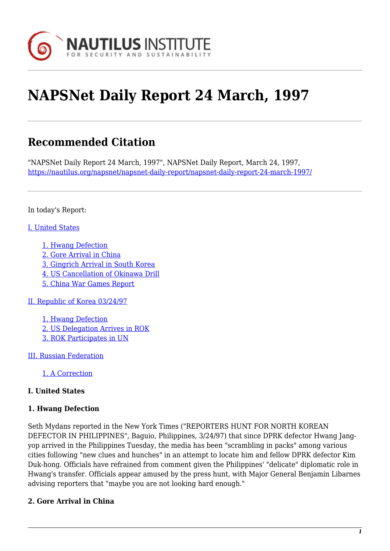

# **NAPSNet Daily Report 24 March, 1997**

# **Recommended Citation**

"NAPSNet Daily Report 24 March, 1997", NAPSNet Daily Report, March 24, 1997, <https://nautilus.org/napsnet/napsnet-daily-report/napsnet-daily-report-24-march-1997/>

In today's Report:

#### [I. United States](#page-2-0)

- [1. Hwang Defection](#page-2-1)
- [2. Gore Arrival in China](#page-2-2)
- [3. Gingrich Arrival in South Korea](#page-3-0)
- [4. US Cancellation of Okinawa Drill](#page-3-1)
- [5. China War Games Report](#page-3-2)

[II. Republic of Korea 03/24/97](#page-4-0)

[1. Hwang Defection](#page-4-1) [2. US Delegation Arrives in ROK](#page-4-2) [3. ROK Participates in UN](#page-5-0)

[III. Russian Federation](#page-5-1)

[1. A Correction](#page-5-2)

#### **I. United States**

#### **1. Hwang Defection**

Seth Mydans reported in the New York Times ("REPORTERS HUNT FOR NORTH KOREAN DEFECTOR IN PHILIPPINES", Baguio, Philippines, 3/24/97) that since DPRK defector Hwang Jangyop arrived in the Philippines Tuesday, the media has been "scrambling in packs" among various cities following "new clues and hunches" in an attempt to locate him and fellow DPRK defector Kim Duk-hong. Officials have refrained from comment given the Philippines' "delicate" diplomatic role in Hwang's transfer. Officials appear amused by the press hunt, with Major General Benjamin Libarnes advising reporters that "maybe you are not looking hard enough."

#### **2. Gore Arrival in China**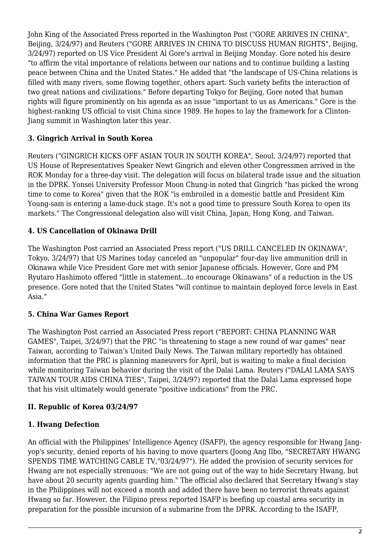John King of the Associated Press reported in the Washington Post ("GORE ARRIVES IN CHINA", Beijing, 3/24/97) and Reuters ("GORE ARRIVES IN CHINA TO DISCUSS HUMAN RIGHTS", Beijing, 3/24/97) reported on US Vice President Al Gore's arrival in Beijing Monday. Gore noted his desire "to affirm the vital importance of relations between our nations and to continue building a lasting peace between China and the United States." He added that "the landscape of US-China relations is filled with many rivers, some flowing together, others apart. Such variety befits the interaction of two great nations and civilizations." Before departing Tokyo for Beijing, Gore noted that human rights will figure prominently on his agenda as an issue "important to us as Americans." Gore is the highest-ranking US official to visit China since 1989. He hopes to lay the framework for a Clinton-Jiang summit in Washington later this year.

#### **3. Gingrich Arrival in South Korea**

Reuters ("GINGRICH KICKS OFF ASIAN TOUR IN SOUTH KOREA", Seoul, 3/24/97) reported that US House of Representatives Speaker Newt Gingrich and eleven other Congressmen arrived in the ROK Monday for a three-day visit. The delegation will focus on bilateral trade issue and the situation in the DPRK. Yonsei University Professor Moon Chung-in noted that Gingrich "has picked the wrong time to come to Korea" given that the ROK "is embroiled in a domestic battle and President Kim Young-sam is entering a lame-duck stage. It's not a good time to pressure South Korea to open its markets." The Congressional delegation also will visit China, Japan, Hong Kong, and Taiwan.

# **4. US Cancellation of Okinawa Drill**

The Washington Post carried an Associated Press report ("US DRILL CANCELED IN OKINAWA", Tokyo, 3/24/97) that US Marines today canceled an "unpopular" four-day live ammunition drill in Okinawa while Vice President Gore met with senior Japanese officials. However, Gore and PM Ryutaro Hashimoto offered "little in statement...to encourage Okinawans" of a reduction in the US presence. Gore noted that the United States "will continue to maintain deployed force levels in East Asia."

#### **5. China War Games Report**

The Washington Post carried an Associated Press report ("REPORT: CHINA PLANNING WAR GAMES", Taipei, 3/24/97) that the PRC "is threatening to stage a new round of war games" near Taiwan, according to Taiwan's United Daily News. The Taiwan military reportedly has obtained information that the PRC is planning maneuvers for April, but is waiting to make a final decision while monitoring Taiwan behavior during the visit of the Dalai Lama. Reuters ("DALAI LAMA SAYS TAIWAN TOUR AIDS CHINA TIES", Taipei, 3/24/97) reported that the Dalai Lama expressed hope that his visit ultimately would generate "positive indications" from the PRC.

#### **II. Republic of Korea 03/24/97**

#### **1. Hwang Defection**

An official with the Philippines' Intelligence Agency (ISAFP), the agency responsible for Hwang Jangyop's security, denied reports of his having to move quarters (Joong Ang Ilbo, "SECRETARY HWANG SPENDS TIME WATCHING CABLE TV,"03/24/97"). He added the provision of security services for Hwang are not especially strenuous: "We are not going out of the way to hide Secretary Hwang, but have about 20 security agents guarding him." The official also declared that Secretary Hwang's stay in the Philippines will not exceed a month and added there have been no terrorist threats against Hwang so far. However, the Filipino press reported ISAFP is beefing up coastal area security in preparation for the possible incursion of a submarine from the DPRK. According to the ISAFP,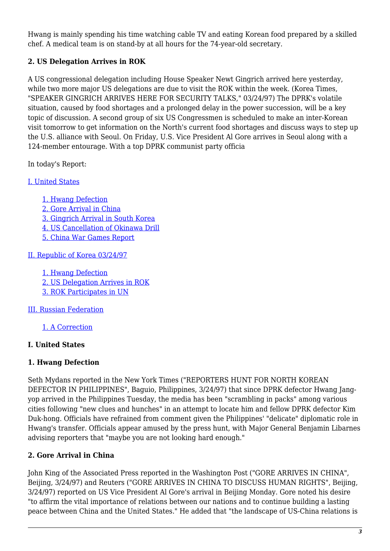Hwang is mainly spending his time watching cable TV and eating Korean food prepared by a skilled chef. A medical team is on stand-by at all hours for the 74-year-old secretary.

## **2. US Delegation Arrives in ROK**

A US congressional delegation including House Speaker Newt Gingrich arrived here yesterday, while two more major US delegations are due to visit the ROK within the week. (Korea Times, "SPEAKER GINGRICH ARRIVES HERE FOR SECURITY TALKS," 03/24/97) The DPRK's volatile situation, caused by food shortages and a prolonged delay in the power succession, will be a key topic of discussion. A second group of six US Congressmen is scheduled to make an inter-Korean visit tomorrow to get information on the North's current food shortages and discuss ways to step up the U.S. alliance with Seoul. On Friday, U.S. Vice President Al Gore arrives in Seoul along with a 124-member entourage. With a top DPRK communist party officia

In today's Report:

#### [I. United States](#page-2-0)

[1. Hwang Defection](#page-2-1) [2. Gore Arrival in China](#page-2-2) [3. Gingrich Arrival in South Korea](#page-3-0) [4. US Cancellation of Okinawa Drill](#page-3-1) [5. China War Games Report](#page-3-2)

[II. Republic of Korea 03/24/97](#page-4-0)

[1. Hwang Defection](#page-4-1) [2. US Delegation Arrives in ROK](#page-4-2) [3. ROK Participates in UN](#page-5-0)

[III. Russian Federation](#page-5-1)

[1. A Correction](#page-5-2)

#### <span id="page-2-0"></span>**I. United States**

#### <span id="page-2-1"></span>**1. Hwang Defection**

Seth Mydans reported in the New York Times ("REPORTERS HUNT FOR NORTH KOREAN DEFECTOR IN PHILIPPINES", Baguio, Philippines, 3/24/97) that since DPRK defector Hwang Jangyop arrived in the Philippines Tuesday, the media has been "scrambling in packs" among various cities following "new clues and hunches" in an attempt to locate him and fellow DPRK defector Kim Duk-hong. Officials have refrained from comment given the Philippines' "delicate" diplomatic role in Hwang's transfer. Officials appear amused by the press hunt, with Major General Benjamin Libarnes advising reporters that "maybe you are not looking hard enough."

#### <span id="page-2-2"></span>**2. Gore Arrival in China**

John King of the Associated Press reported in the Washington Post ("GORE ARRIVES IN CHINA", Beijing, 3/24/97) and Reuters ("GORE ARRIVES IN CHINA TO DISCUSS HUMAN RIGHTS", Beijing, 3/24/97) reported on US Vice President Al Gore's arrival in Beijing Monday. Gore noted his desire "to affirm the vital importance of relations between our nations and to continue building a lasting peace between China and the United States." He added that "the landscape of US-China relations is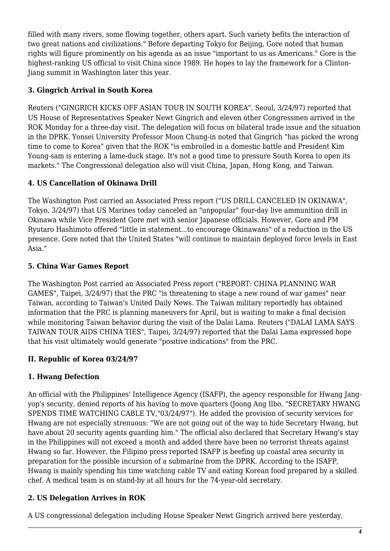filled with many rivers, some flowing together, others apart. Such variety befits the interaction of two great nations and civilizations." Before departing Tokyo for Beijing, Gore noted that human rights will figure prominently on his agenda as an issue "important to us as Americans." Gore is the highest-ranking US official to visit China since 1989. He hopes to lay the framework for a Clinton-Jiang summit in Washington later this year.

#### <span id="page-3-0"></span>**3. Gingrich Arrival in South Korea**

Reuters ("GINGRICH KICKS OFF ASIAN TOUR IN SOUTH KOREA", Seoul, 3/24/97) reported that US House of Representatives Speaker Newt Gingrich and eleven other Congressmen arrived in the ROK Monday for a three-day visit. The delegation will focus on bilateral trade issue and the situation in the DPRK. Yonsei University Professor Moon Chung-in noted that Gingrich "has picked the wrong time to come to Korea" given that the ROK "is embroiled in a domestic battle and President Kim Young-sam is entering a lame-duck stage. It's not a good time to pressure South Korea to open its markets." The Congressional delegation also will visit China, Japan, Hong Kong, and Taiwan.

## <span id="page-3-1"></span>**4. US Cancellation of Okinawa Drill**

The Washington Post carried an Associated Press report ("US DRILL CANCELED IN OKINAWA", Tokyo, 3/24/97) that US Marines today canceled an "unpopular" four-day live ammunition drill in Okinawa while Vice President Gore met with senior Japanese officials. However, Gore and PM Ryutaro Hashimoto offered "little in statement...to encourage Okinawans" of a reduction in the US presence. Gore noted that the United States "will continue to maintain deployed force levels in East Asia."

## <span id="page-3-2"></span>**5. China War Games Report**

The Washington Post carried an Associated Press report ("REPORT: CHINA PLANNING WAR GAMES", Taipei, 3/24/97) that the PRC "is threatening to stage a new round of war games" near Taiwan, according to Taiwan's United Daily News. The Taiwan military reportedly has obtained information that the PRC is planning maneuvers for April, but is waiting to make a final decision while monitoring Taiwan behavior during the visit of the Dalai Lama. Reuters ("DALAI LAMA SAYS TAIWAN TOUR AIDS CHINA TIES", Taipei, 3/24/97) reported that the Dalai Lama expressed hope that his visit ultimately would generate "positive indications" from the PRC.

#### **II. Republic of Korea 03/24/97**

# **1. Hwang Defection**

An official with the Philippines' Intelligence Agency (ISAFP), the agency responsible for Hwang Jangyop's security, denied reports of his having to move quarters (Joong Ang Ilbo, "SECRETARY HWANG SPENDS TIME WATCHING CABLE TV,"03/24/97"). He added the provision of security services for Hwang are not especially strenuous: "We are not going out of the way to hide Secretary Hwang, but have about 20 security agents guarding him." The official also declared that Secretary Hwang's stay in the Philippines will not exceed a month and added there have been no terrorist threats against Hwang so far. However, the Filipino press reported ISAFP is beefing up coastal area security in preparation for the possible incursion of a submarine from the DPRK. According to the ISAFP, Hwang is mainly spending his time watching cable TV and eating Korean food prepared by a skilled chef. A medical team is on stand-by at all hours for the 74-year-old secretary.

# **2. US Delegation Arrives in ROK**

A US congressional delegation including House Speaker Newt Gingrich arrived here yesterday,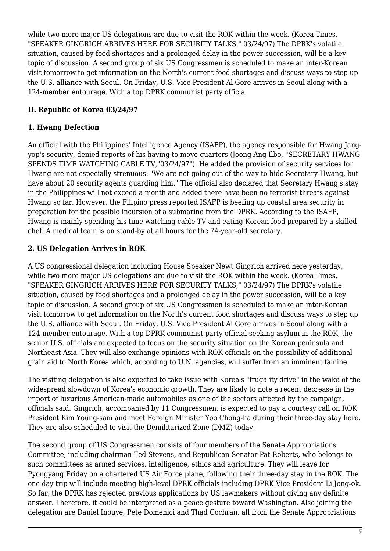while two more major US delegations are due to visit the ROK within the week. (Korea Times, "SPEAKER GINGRICH ARRIVES HERE FOR SECURITY TALKS," 03/24/97) The DPRK's volatile situation, caused by food shortages and a prolonged delay in the power succession, will be a key topic of discussion. A second group of six US Congressmen is scheduled to make an inter-Korean visit tomorrow to get information on the North's current food shortages and discuss ways to step up the U.S. alliance with Seoul. On Friday, U.S. Vice President Al Gore arrives in Seoul along with a 124-member entourage. With a top DPRK communist party officia

## <span id="page-4-0"></span>**II. Republic of Korea 03/24/97**

#### <span id="page-4-1"></span>**1. Hwang Defection**

An official with the Philippines' Intelligence Agency (ISAFP), the agency responsible for Hwang Jangyop's security, denied reports of his having to move quarters (Joong Ang Ilbo, "SECRETARY HWANG SPENDS TIME WATCHING CABLE TV,"03/24/97"). He added the provision of security services for Hwang are not especially strenuous: "We are not going out of the way to hide Secretary Hwang, but have about 20 security agents guarding him." The official also declared that Secretary Hwang's stay in the Philippines will not exceed a month and added there have been no terrorist threats against Hwang so far. However, the Filipino press reported ISAFP is beefing up coastal area security in preparation for the possible incursion of a submarine from the DPRK. According to the ISAFP, Hwang is mainly spending his time watching cable TV and eating Korean food prepared by a skilled chef. A medical team is on stand-by at all hours for the 74-year-old secretary.

#### <span id="page-4-2"></span>**2. US Delegation Arrives in ROK**

A US congressional delegation including House Speaker Newt Gingrich arrived here yesterday, while two more major US delegations are due to visit the ROK within the week. (Korea Times, "SPEAKER GINGRICH ARRIVES HERE FOR SECURITY TALKS," 03/24/97) The DPRK's volatile situation, caused by food shortages and a prolonged delay in the power succession, will be a key topic of discussion. A second group of six US Congressmen is scheduled to make an inter-Korean visit tomorrow to get information on the North's current food shortages and discuss ways to step up the U.S. alliance with Seoul. On Friday, U.S. Vice President Al Gore arrives in Seoul along with a 124-member entourage. With a top DPRK communist party official seeking asylum in the ROK, the senior U.S. officials are expected to focus on the security situation on the Korean peninsula and Northeast Asia. They will also exchange opinions with ROK officials on the possibility of additional grain aid to North Korea which, according to U.N. agencies, will suffer from an imminent famine.

The visiting delegation is also expected to take issue with Korea's "frugality drive" in the wake of the widespread slowdown of Korea's economic growth. They are likely to note a recent decrease in the import of luxurious American-made automobiles as one of the sectors affected by the campaign, officials said. Gingrich, accompanied by 11 Congressmen, is expected to pay a courtesy call on ROK President Kim Young-sam and meet Foreign Minister Yoo Chong-ha during their three-day stay here. They are also scheduled to visit the Demilitarized Zone (DMZ) today.

The second group of US Congressmen consists of four members of the Senate Appropriations Committee, including chairman Ted Stevens, and Republican Senator Pat Roberts, who belongs to such committees as armed services, intelligence, ethics and agriculture. They will leave for Pyongyang Friday on a chartered US Air Force plane, following their three-day stay in the ROK. The one day trip will include meeting high-level DPRK officials including DPRK Vice President Li Jong-ok. So far, the DPRK has rejected previous applications by US lawmakers without giving any definite answer. Therefore, it could be interpreted as a peace gesture toward Washington. Also joining the delegation are Daniel Inouye, Pete Domenici and Thad Cochran, all from the Senate Appropriations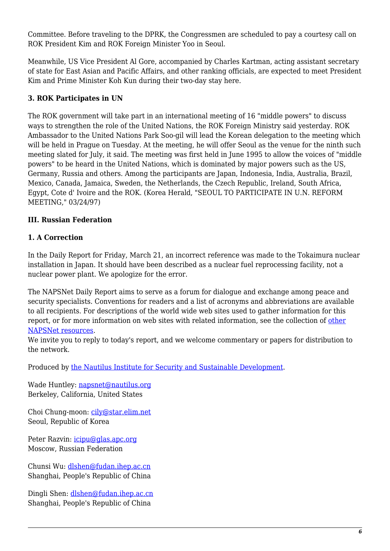Committee. Before traveling to the DPRK, the Congressmen are scheduled to pay a courtesy call on ROK President Kim and ROK Foreign Minister Yoo in Seoul.

Meanwhile, US Vice President Al Gore, accompanied by Charles Kartman, acting assistant secretary of state for East Asian and Pacific Affairs, and other ranking officials, are expected to meet President Kim and Prime Minister Koh Kun during their two-day stay here.

#### <span id="page-5-0"></span>**3. ROK Participates in UN**

The ROK government will take part in an international meeting of 16 "middle powers" to discuss ways to strengthen the role of the United Nations, the ROK Foreign Ministry said yesterday. ROK Ambassador to the United Nations Park Soo-gil will lead the Korean delegation to the meeting which will be held in Prague on Tuesday. At the meeting, he will offer Seoul as the venue for the ninth such meeting slated for July, it said. The meeting was first held in June 1995 to allow the voices of "middle powers" to be heard in the United Nations, which is dominated by major powers such as the US, Germany, Russia and others. Among the participants are Japan, Indonesia, India, Australia, Brazil, Mexico, Canada, Jamaica, Sweden, the Netherlands, the Czech Republic, Ireland, South Africa, Egypt, Cote d' Ivoire and the ROK. (Korea Herald, "SEOUL TO PARTICIPATE IN U.N. REFORM MEETING," 03/24/97)

## <span id="page-5-1"></span>**III. Russian Federation**

#### <span id="page-5-2"></span>**1. A Correction**

In the Daily Report for Friday, March 21, an incorrect reference was made to the Tokaimura nuclear installation in Japan. It should have been described as a nuclear fuel reprocessing facility, not a nuclear power plant. We apologize for the error.

The NAPSNet Daily Report aims to serve as a forum for dialogue and exchange among peace and security specialists. Conventions for readers and a list of acronyms and abbreviations are available to all recipients. For descriptions of the world wide web sites used to gather information for this report, or for more information on web sites with related information, see the collection of [other](http://www.nautilus.org/napsnet/othnaps.html) [NAPSNet resources.](http://www.nautilus.org/napsnet/othnaps.html)

We invite you to reply to today's report, and we welcome commentary or papers for distribution to the network.

Produced by [the Nautilus Institute for Security and Sustainable Development](http://www.nautilus.org/morenaut.html).

Wade Huntley: [napsnet@nautilus.org](mailto:napsnet@nautilus.org) Berkeley, California, United States

Choi Chung-moon: [cily@star.elim.net](mailto:cily@star.elim.net) Seoul, Republic of Korea

Peter Razvin: [icipu@glas.apc.org](mailto:icipu@glas.apc.org) Moscow, Russian Federation

Chunsi Wu: [dlshen@fudan.ihep.ac.cn](mailto:dlshen@fudan.ihep.ac.cn (Chunsi Wu)) Shanghai, People's Republic of China

Dingli Shen: [dlshen@fudan.ihep.ac.cn](mailto:dlshen@fudan.ihep.ac.cn (Dingli Shen)) Shanghai, People's Republic of China